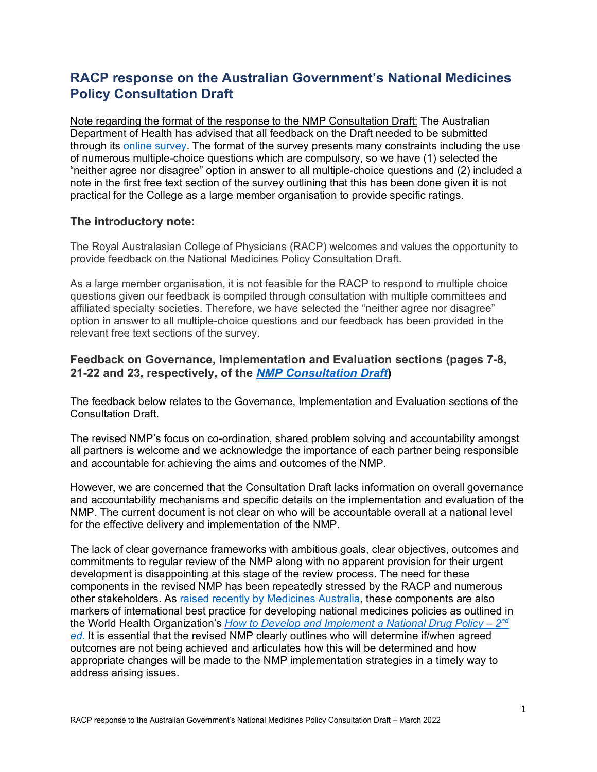## **RACP response on the Australian Government's National Medicines Policy Consultation Draft**

Note regarding the format of the response to the NMP Consultation Draft: The Australian Department of Health has advised that all feedback on the Draft needed to be submitted through its [online survey.](https://consultations.health.gov.au/technology-assessment-access-division/consultation-draft-national-medicines-policy/#:%7E:text=The%20draft%20Policy) The format of the survey presents many constraints including the use of numerous multiple-choice questions which are compulsory, so we have (1) selected the "neither agree nor disagree" option in answer to all multiple-choice questions and (2) included a note in the first free text section of the survey outlining that this has been done given it is not practical for the College as a large member organisation to provide specific ratings.

## **The introductory note:**

The Royal Australasian College of Physicians (RACP) welcomes and values the opportunity to provide feedback on the National Medicines Policy Consultation Draft.

As a large member organisation, it is not feasible for the RACP to respond to multiple choice questions given our feedback is compiled through consultation with multiple committees and affiliated specialty societies. Therefore, we have selected the "neither agree nor disagree" option in answer to all multiple-choice questions and our feedback has been provided in the relevant free text sections of the survey.

## **Feedback on Governance, Implementation and Evaluation sections (pages 7-8, 21-22 and 23, respectively, of the** *[NMP Consultation Draft](https://consultations.health.gov.au/technology-assessment-access-division/consultation-draft-national-medicines-policy/supporting_documents/Draft%20National%20Medicines%20Policy%20%20Consultation%20Document.pdf)***)**

The feedback below relates to the Governance, Implementation and Evaluation sections of the Consultation Draft.

The revised NMP's focus on co-ordination, shared problem solving and accountability amongst all partners is welcome and we acknowledge the importance of each partner being responsible and accountable for achieving the aims and outcomes of the NMP.

However, we are concerned that the Consultation Draft lacks information on overall governance and accountability mechanisms and specific details on the implementation and evaluation of the NMP. The current document is not clear on who will be accountable overall at a national level for the effective delivery and implementation of the NMP.

The lack of clear governance frameworks with ambitious goals, clear objectives, outcomes and commitments to regular review of the NMP along with no apparent provision for their urgent development is disappointing at this stage of the review process. The need for these components in the revised NMP has been repeatedly stressed by the RACP and numerous other stakeholders. As [raised recently by Medicines Australia,](https://www.medicinesaustralia.com.au/media-release/national-medicines-policy-too-important-to-be-rushed-before-federal-election/) these components are also markers of international best practice for developing national medicines policies as outlined in the World Health Organization's *[How to Develop and Implement a National Drug Policy –](https://www.who.int/publications/i/item/924154547X) 2nd [ed.](https://www.who.int/publications/i/item/924154547X)* It is essential that the revised NMP clearly outlines who will determine if/when agreed outcomes are not being achieved and articulates how this will be determined and how appropriate changes will be made to the NMP implementation strategies in a timely way to address arising issues.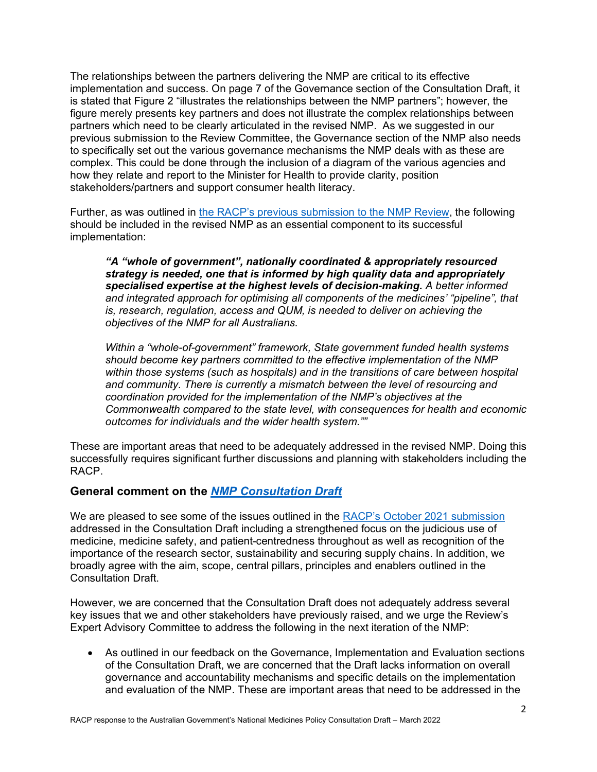The relationships between the partners delivering the NMP are critical to its effective implementation and success. On page 7 of the Governance section of the Consultation Draft, it is stated that Figure 2 "illustrates the relationships between the NMP partners"; however, the figure merely presents key partners and does not illustrate the complex relationships between partners which need to be clearly articulated in the revised NMP. As we suggested in our previous submission to the Review Committee, the Governance section of the NMP also needs to specifically set out the various governance mechanisms the NMP deals with as these are complex. This could be done through the inclusion of a diagram of the various agencies and how they relate and report to the Minister for Health to provide clarity, position stakeholders/partners and support consumer health literacy.

Further, as was outlined in [the RACP's previous submission to the NMP Review,](https://www.racp.edu.au/docs/default-source/advocacy-library/racp-submission-to-nmp-discussion-paper.pdf?sfvrsn=3846c41a_8) the following should be included in the revised NMP as an essential component to its successful implementation:

*"A "whole of government", nationally coordinated & appropriately resourced strategy is needed, one that is informed by high quality data and appropriately specialised expertise at the highest levels of decision-making. A better informed and integrated approach for optimising all components of the medicines' "pipeline", that is, research, regulation, access and QUM, is needed to deliver on achieving the objectives of the NMP for all Australians.*

*Within a "whole-of-government" framework, State government funded health systems should become key partners committed to the effective implementation of the NMP within those systems (such as hospitals) and in the transitions of care between hospital and community. There is currently a mismatch between the level of resourcing and coordination provided for the implementation of the NMP's objectives at the Commonwealth compared to the state level, with consequences for health and economic outcomes for individuals and the wider health system.""*

These are important areas that need to be adequately addressed in the revised NMP. Doing this successfully requires significant further discussions and planning with stakeholders including the RACP.

## **General comment on the** *[NMP Consultation Draft](https://consultations.health.gov.au/technology-assessment-access-division/consultation-draft-national-medicines-policy/supporting_documents/Draft%20National%20Medicines%20Policy%20%20Consultation%20Document.pdf)*

We are pleased to see some of the issues outlined in the [RACP's October 2021 submission](https://www.racp.edu.au/docs/default-source/advocacy-library/racp-submission-to-nmp-discussion-paper.pdf?sfvrsn=3846c41a_8) addressed in the Consultation Draft including a strengthened focus on the judicious use of medicine, medicine safety, and patient-centredness throughout as well as recognition of the importance of the research sector, sustainability and securing supply chains. In addition, we broadly agree with the aim, scope, central pillars, principles and enablers outlined in the Consultation Draft.

However, we are concerned that the Consultation Draft does not adequately address several key issues that we and other stakeholders have previously raised, and we urge the Review's Expert Advisory Committee to address the following in the next iteration of the NMP:

• As outlined in our feedback on the Governance, Implementation and Evaluation sections of the Consultation Draft, we are concerned that the Draft lacks information on overall governance and accountability mechanisms and specific details on the implementation and evaluation of the NMP. These are important areas that need to be addressed in the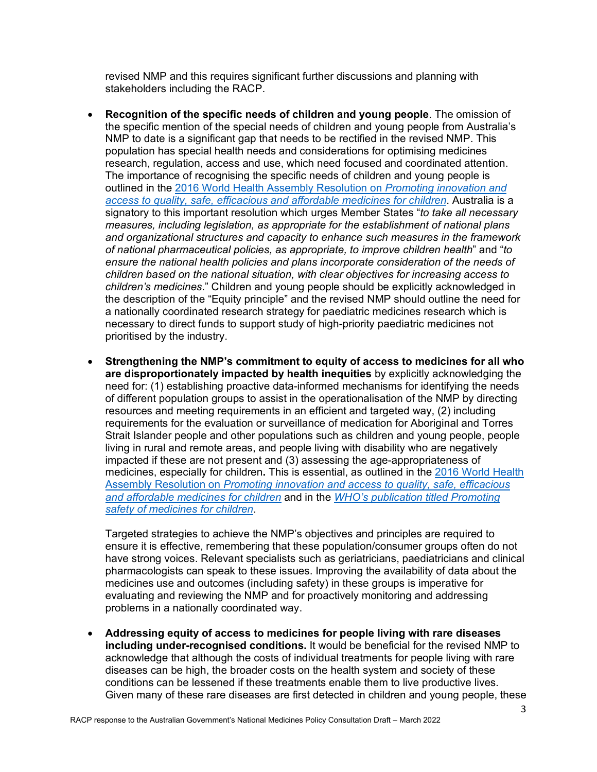revised NMP and this requires significant further discussions and planning with stakeholders including the RACP.

- **Recognition of the specific needs of children and young people**. The omission of the specific mention of the special needs of children and young people from Australia's NMP to date is a significant gap that needs to be rectified in the revised NMP. This population has special health needs and considerations for optimising medicines research, regulation, access and use, which need focused and coordinated attention. The importance of recognising the specific needs of children and young people is outlined in the [2016 World Health Assembly Resolution on](https://apps.who.int/iris/bitstream/handle/10665/252800/A69_R20-en.pdf?sequence=1&isAllowed=y) *Promoting innovation and [access to quality, safe, efficacious and affordable medicines for children](https://apps.who.int/iris/bitstream/handle/10665/252800/A69_R20-en.pdf?sequence=1&isAllowed=y)*. Australia is a signatory to this important resolution which urges Member States "*to take all necessary measures, including legislation, as appropriate for the establishment of national plans and organizational structures and capacity to enhance such measures in the framework of national pharmaceutical policies, as appropriate, to improve children health*" and "*to ensure the national health policies and plans incorporate consideration of the needs of children based on the national situation, with clear objectives for increasing access to children's medicines*." Children and young people should be explicitly acknowledged in the description of the "Equity principle" and the revised NMP should outline the need for a nationally coordinated research strategy for paediatric medicines research which is necessary to direct funds to support study of high-priority paediatric medicines not prioritised by the industry.
- **Strengthening the NMP's commitment to equity of access to medicines for all who are disproportionately impacted by health inequities** by explicitly acknowledging the need for: (1) establishing proactive data-informed mechanisms for identifying the needs of different population groups to assist in the operationalisation of the NMP by directing resources and meeting requirements in an efficient and targeted way, (2) including requirements for the evaluation or surveillance of medication for Aboriginal and Torres Strait Islander people and other populations such as children and young people, people living in rural and remote areas, and people living with disability who are negatively impacted if these are not present and (3) assessing the age-appropriateness of medicines, especially for children**.** This is essential, as outlined in the [2016 World Health](https://apps.who.int/iris/bitstream/handle/10665/252800/A69_R20-en.pdf?sequence=1&isAllowed=y)  Assembly Resolution on *[Promoting innovation and access to quality, safe, efficacious](https://apps.who.int/iris/bitstream/handle/10665/252800/A69_R20-en.pdf?sequence=1&isAllowed=y)  [and affordable medicines for children](https://apps.who.int/iris/bitstream/handle/10665/252800/A69_R20-en.pdf?sequence=1&isAllowed=y)* and in the *[WHO's publication titled Promoting](https://www.who.int/medicines/publications/essentialmedicines/Promotion_safe_med_childrens.pdf)  [safety of medicines for children](https://www.who.int/medicines/publications/essentialmedicines/Promotion_safe_med_childrens.pdf)*.

Targeted strategies to achieve the NMP's objectives and principles are required to ensure it is effective, remembering that these population/consumer groups often do not have strong voices. Relevant specialists such as geriatricians, paediatricians and clinical pharmacologists can speak to these issues. Improving the availability of data about the medicines use and outcomes (including safety) in these groups is imperative for evaluating and reviewing the NMP and for proactively monitoring and addressing problems in a nationally coordinated way.

• **Addressing equity of access to medicines for people living with rare diseases including under-recognised conditions.** It would be beneficial for the revised NMP to acknowledge that although the costs of individual treatments for people living with rare diseases can be high, the broader costs on the health system and society of these conditions can be lessened if these treatments enable them to live productive lives. Given many of these rare diseases are first detected in children and young people, these